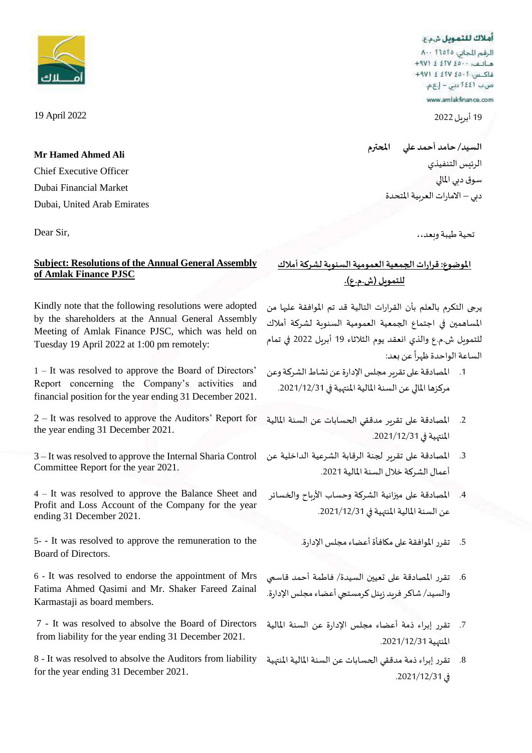أهلاك للتمويل شمع

الرقم للجاني: ٨٠٠ ٢١٥٢٥ فاكس: 1-20 /211 } (49+ ص.ب 1٤٤١ دين – إ.ع.م. www.amlakfinance.com

19 أبريل 2022

**السيد/ حامد أحمد علي املحترم** الرئيس التنفيذي سوق دبي املالي دبي – الامارات العربية المتحدة

تحية طيبة وبعد،،

# **املوضوع:قرارات الجمعيةالعموميةالسنويةلشركة أمالك للتمويل )ش.م.ع(.**

يرجى التكرم بالعلم بأن القرارات التالية قد تم املوافقة عليها من املساهمين في اجتماع الجمعية العمومية السنوية لشركة أمالك للتمويل ش.م.ع والذي انعقد يوم الثالثاء 19 أبريل 2022 في تمام الساعة الواحدة ظهرا عن بعد:  $\frac{1}{1}$ 

- 1. المصادقة على تقرير مجلس الإدارة عن نشاط الشركة وعن مركزها املالي عن السنة املالية املنتهية في .2021/12/31
- 2. المصادقة على تقرير مدققي الحسابات عن السنة المالية املنتهية في .2021/12/31
- 3. المصادقة على تقرير لجنة الرقابة الشرعية الداخلية عن أعمال الشركة خالل السنة املالية .2021
- 4. المصادقة على ميزانية الشركة وحساب الأرباح والخسائر عن السنة املالية املنتهية في .2021/12/31
	-
- تقرر المصادقة على تعيين السيدة/ فاطمة أحمد قاسمي والسيد/ شاكر فربد زبنل كرمستجي أعضاء مجلس الإدارة.
- .7 تقرر إبراء ذمة أعضاء مجلس اإلدارة عن السنة املالية املنتهية .2021/12/31
- .8 تقرر إبراء ذمة مدققي الحسابات عن السنة املالية املنتهية في .2021/12/31



19 April 2022

**Mr Hamed Ahmed Ali** Chief Executive Officer Dubai Financial Market Dubai, United Arab Emirates

Dear Sir,

## **Subject: Resolutions of the Annual General Assembly of Amlak Finance PJSC**

Kindly note that the following resolutions were adopted by the shareholders at the Annual General Assembly Meeting of Amlak Finance PJSC, which was held on Tuesday 19 April 2022 at 1:00 pm remotely:

1 – It was resolved to approve the Board of Directors' Report concerning the Company's activities and financial position for the year ending 31 December 2021.

2 – It was resolved to approve the Auditors' Report for the year ending 31 December 2021.

3 – It was resolved to approve the Internal Sharia Control Committee Report for the year 2021.

4 – It was resolved to approve the Balance Sheet and Profit and Loss Account of the Company for the year ending 31 December 2021.

5- - It was resolved to approve the remuneration to the ... تقرر الموافقة على مكافأة أعضاء مجلس الإدارة . Board of Directors.

6 - It was resolved to endorse the appointment of Mrs Fatima Ahmed Qasimi and Mr. Shaker Fareed Zainal Karmastaji as board members.

7 - It was resolved to absolve the Board of Directors from liability for the year ending 31 December 2021.

8 - It was resolved to absolve the Auditors from liability for the year ending 31 December 2021.